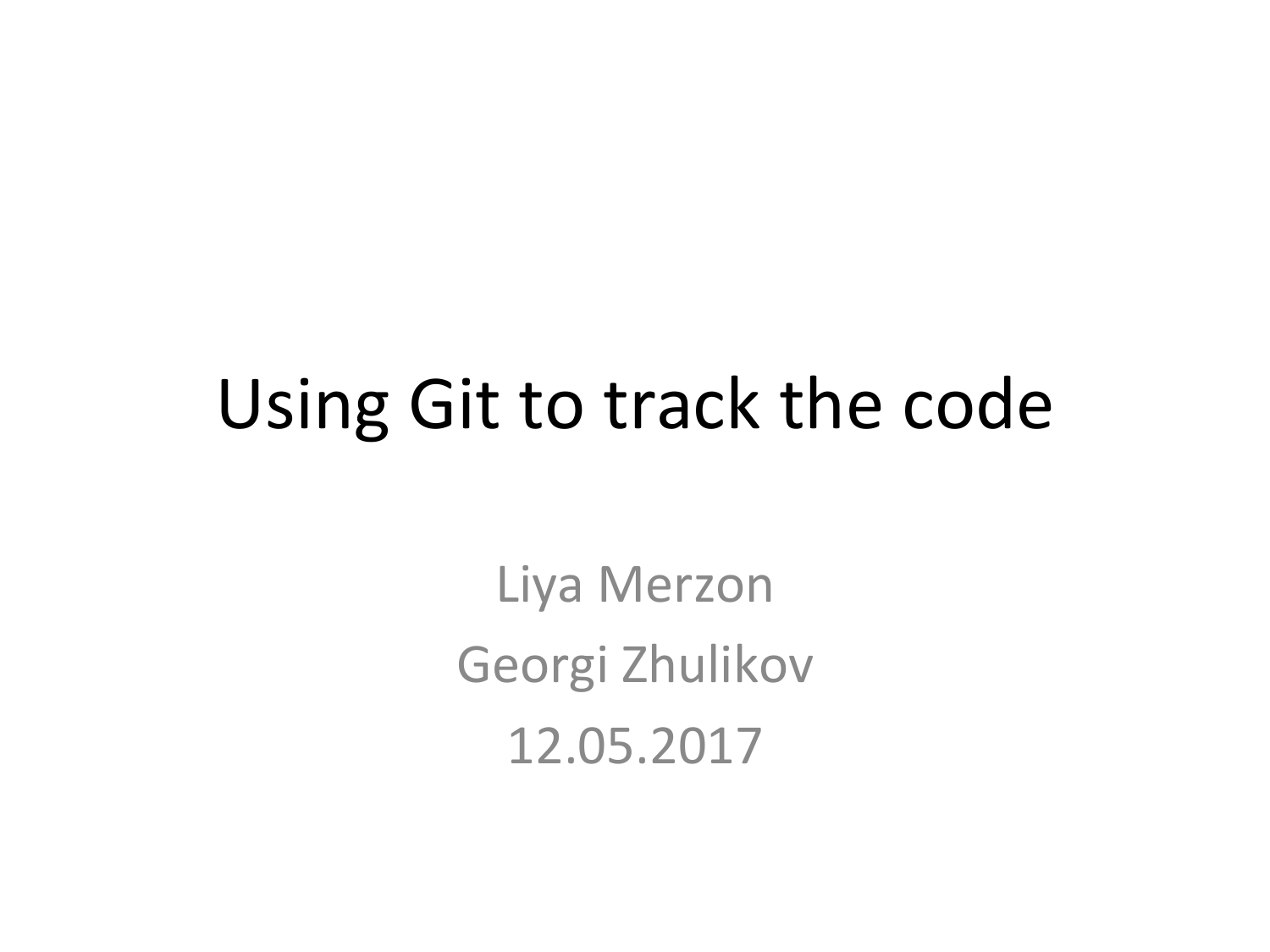#### Using Git to track the code

Liya Merzon Georgi Zhulikov 12.05.2017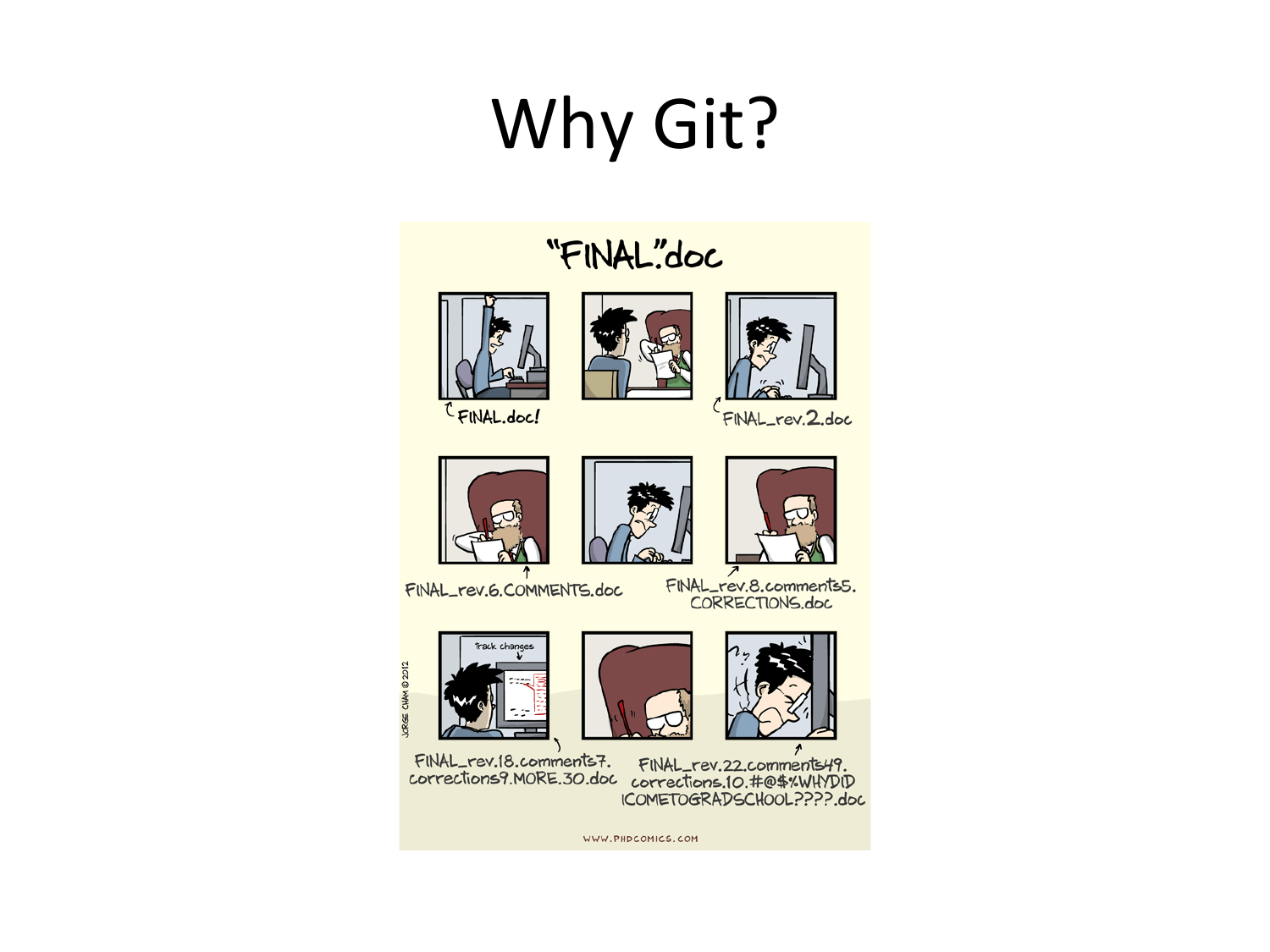# **Why Git?**

#### "FINAL"doc







FINAL\_rev.2.doc









FINAL\_rév.8.comments5.<br>CORRECTIONS.doc







FINAL\_rev.22.comments49. corrections9.MORE.30.doc corrections.10.#@\$%WHYDID ICOMETOGRADSCHOOL????.doc

WWW.PHDCOMICS.COM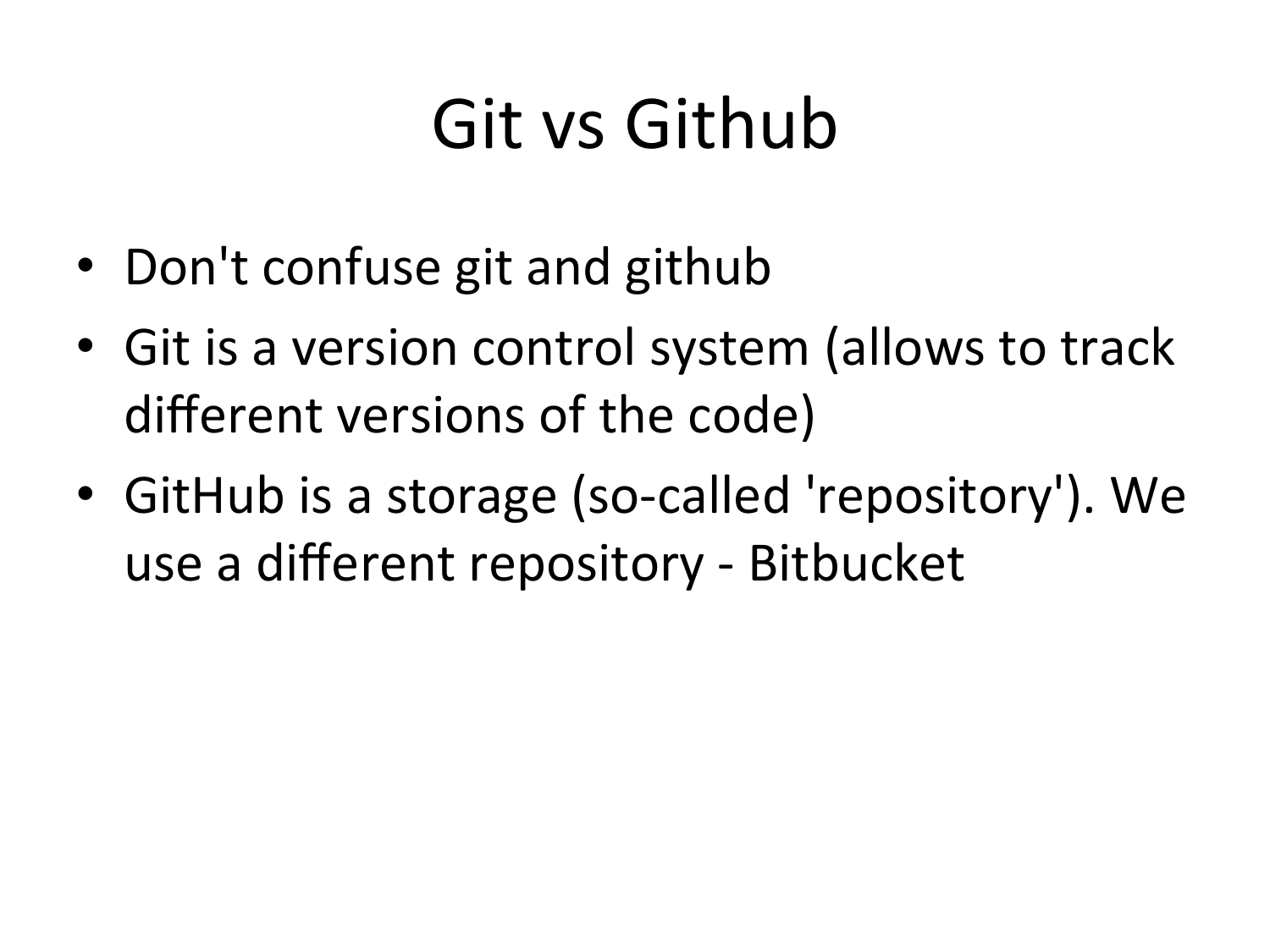## Git vs Github

- Don't confuse git and github
- Git is a version control system (allows to track different versions of the code)
- GitHub is a storage (so-called 'repository'). We use a different repository - Bitbucket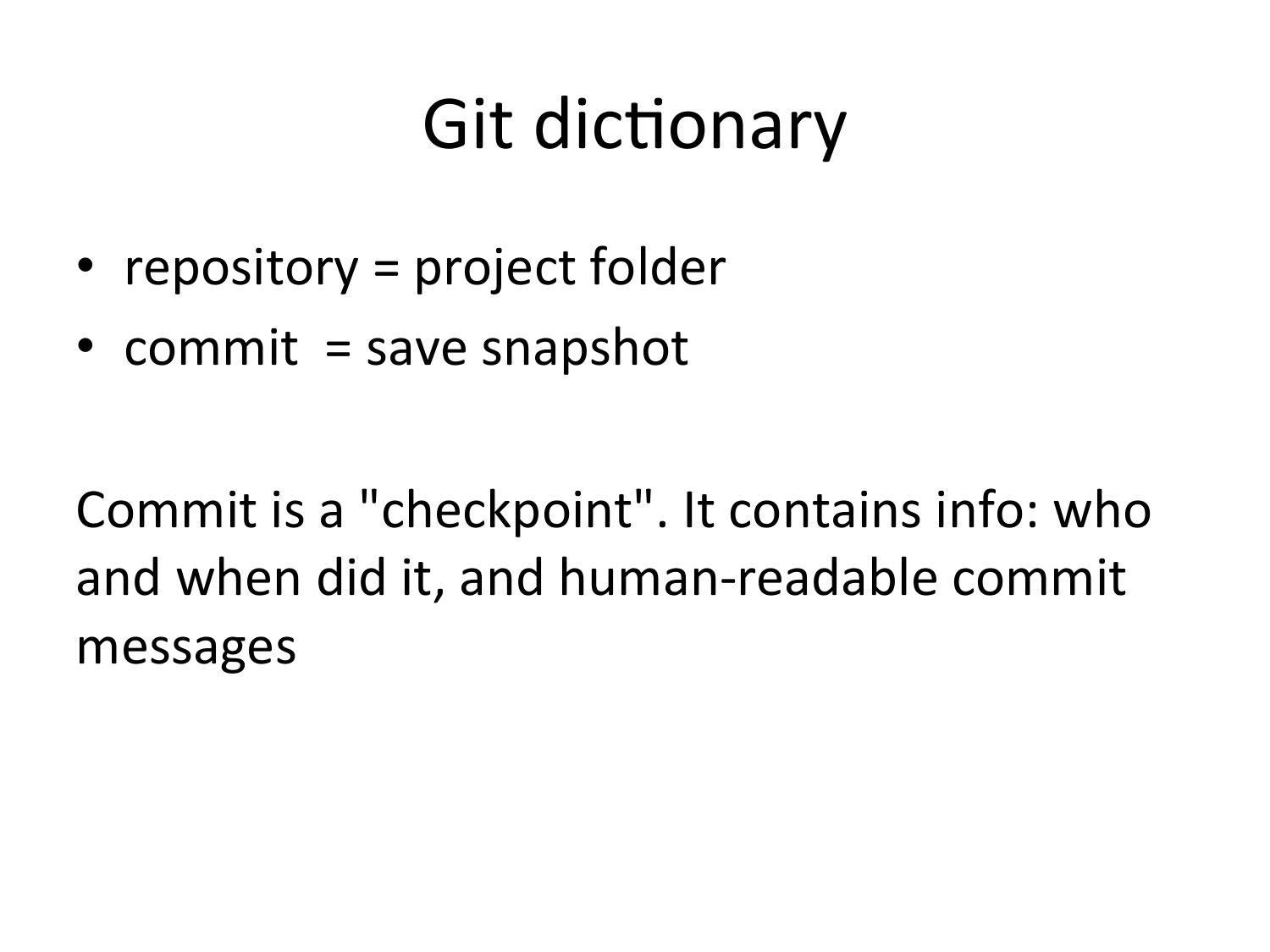## Git dictionary

- repository  $=$  project folder
- commit  $=$  save snapshot

Commit is a "checkpoint". It contains info: who and when did it, and human-readable commit messages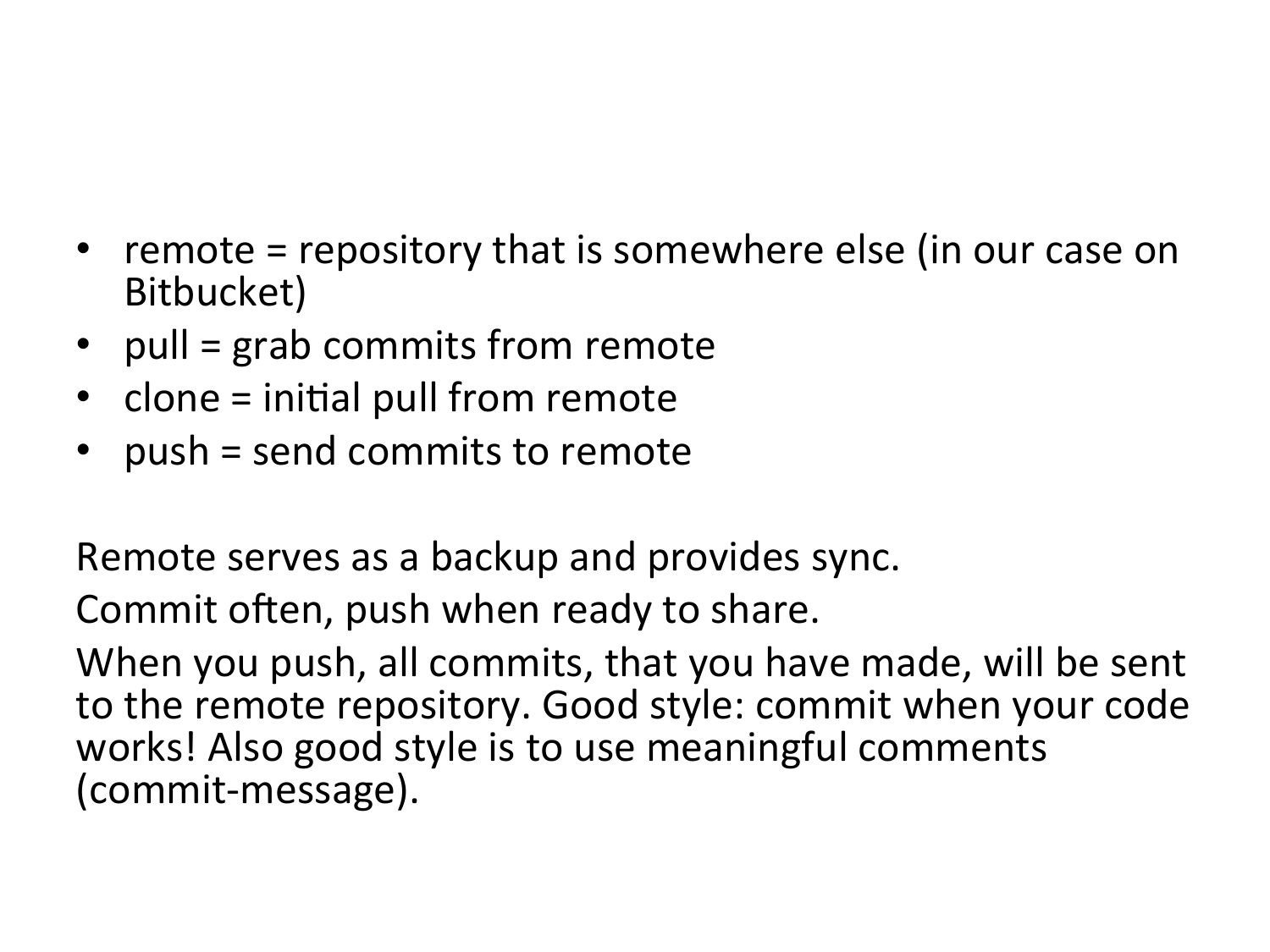- remote = repository that is somewhere else (in our case on Bitbucket)
- pull =  $grab$  commits from remote
- clone  $=$  initial pull from remote
- push = send commits to remote

Remote serves as a backup and provides sync.

Commit often, push when ready to share.

When you push, all commits, that you have made, will be sent to the remote repository. Good style: commit when your code works! Also good style is to use meaningful comments (commit-message).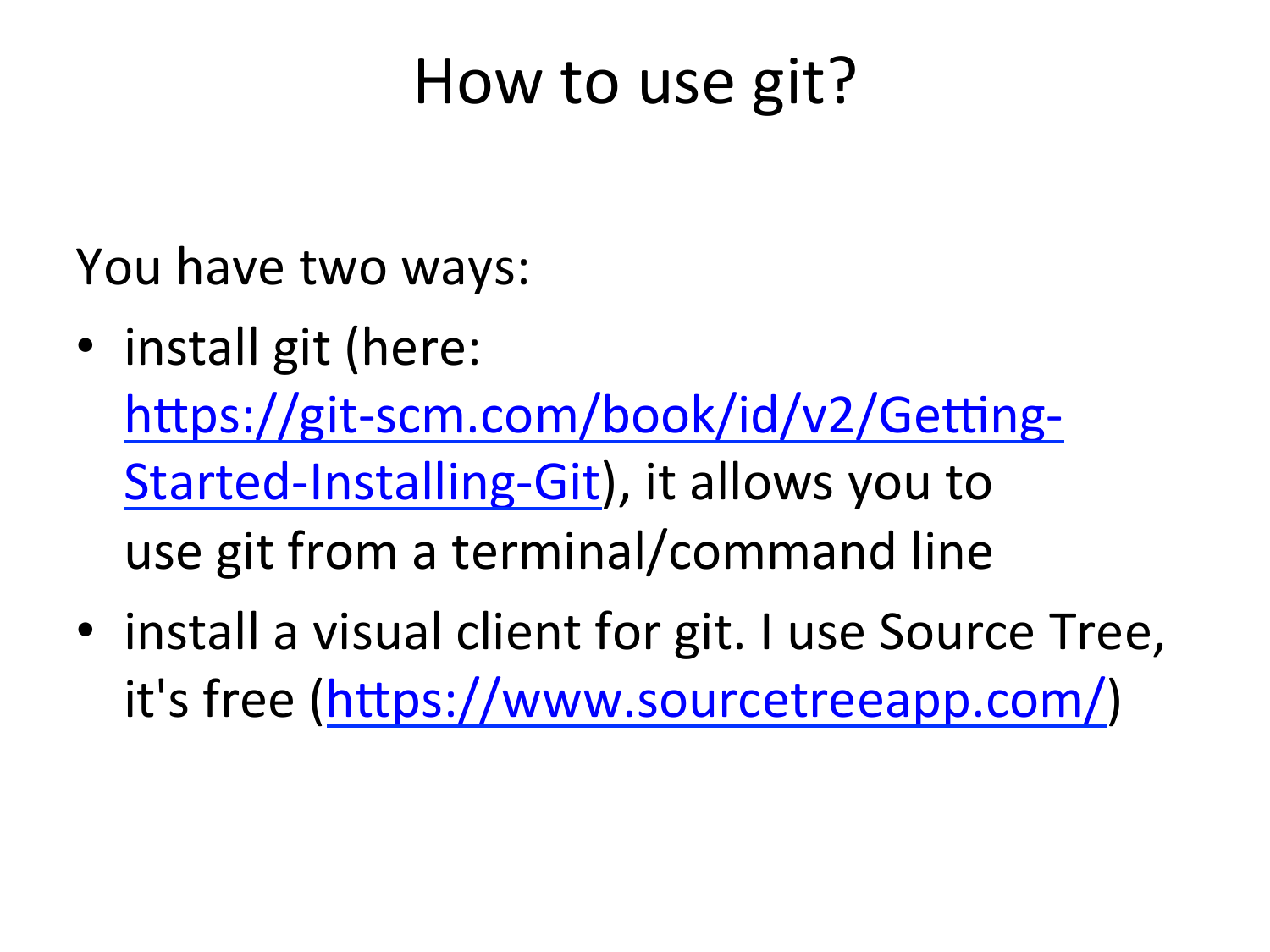#### How to use git?

You have two ways:

- install git (here: https://git-scm.com/book/id/v2/Getting-Started-Installing-Git), it allows you to use git from a terminal/command line
- install a visual client for git. I use Source Tree, it's free (https://www.sourcetreeapp.com/)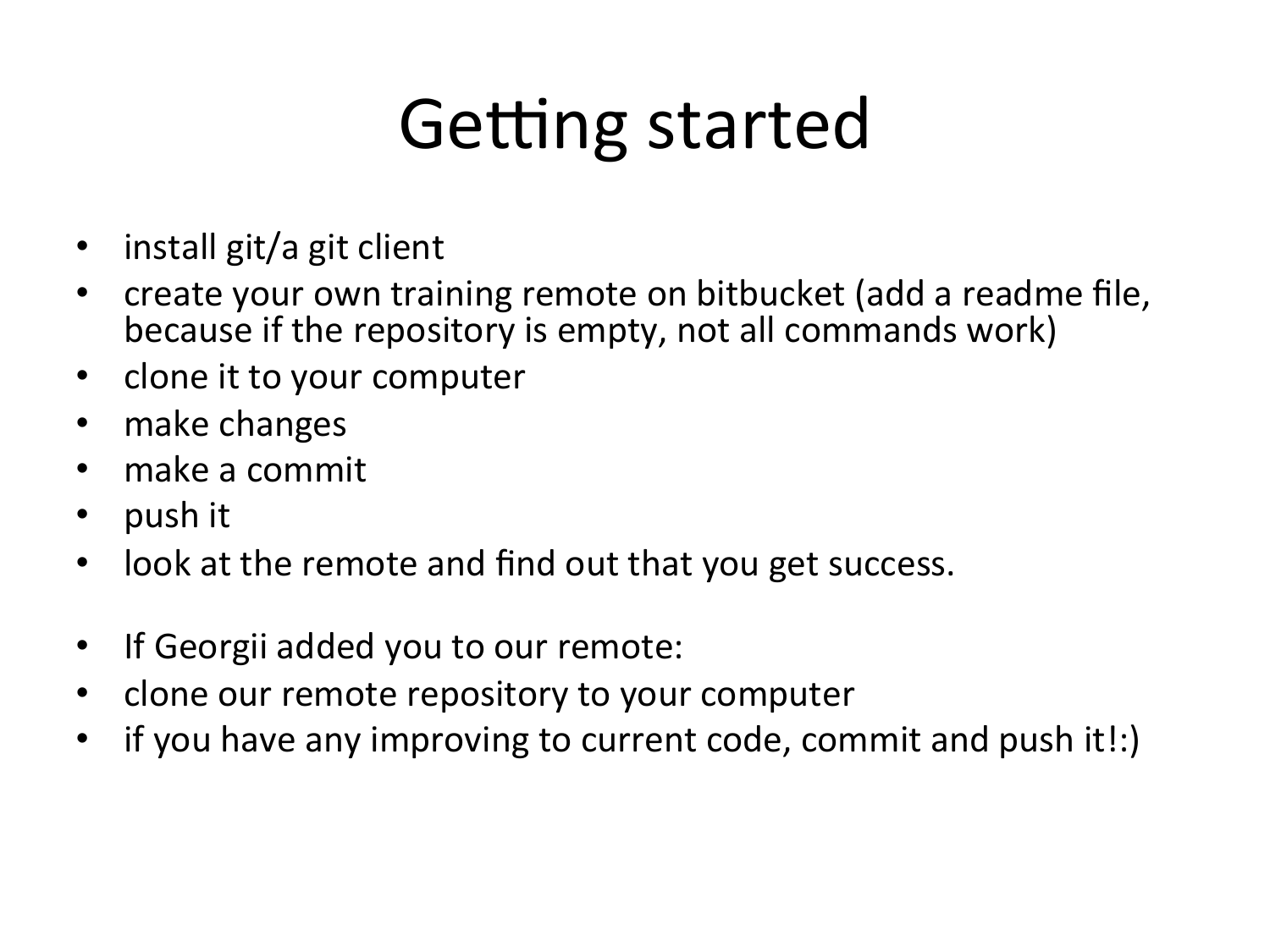### **Getting started**

- install git/a git client
- create your own training remote on bitbucket (add a readme file, because if the repository is empty, not all commands work)
- clone it to your computer
- make changes
- make a commit
- push it
- look at the remote and find out that you get success.
- If Georgii added you to our remote:
- clone our remote repository to your computer
- if you have any improving to current code, commit and push it!:)